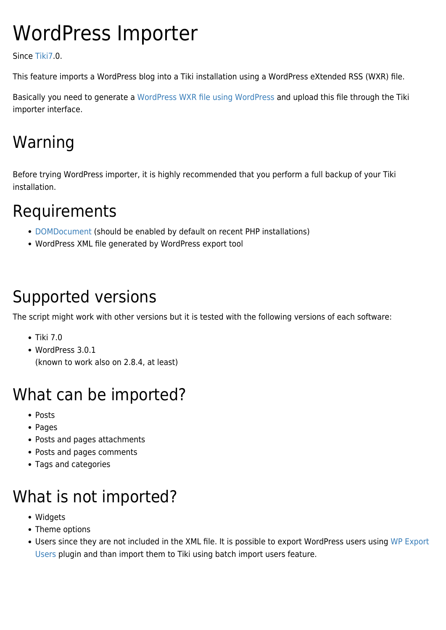# WordPress Importer

Since [Tiki7.](https://doc.tiki.org/Tiki7)0.

This feature imports a WordPress blog into a Tiki installation using a WordPress eXtended RSS (WXR) file.

Basically you need to generate a [WordPress WXR file using WordPress](http://codex.wordpress.org/Tools_Export_SubPanel) and upload this file through the Tiki importer interface.

## Warning

Before trying WordPress importer, it is highly recommended that you perform a full backup of your Tiki installation.

### Requirements

- [DOMDocument](http://php.net/manual/en/book.dom.php) (should be enabled by default on recent PHP installations)
- WordPress XML file generated by WordPress export tool

#### Supported versions

The script might work with other versions but it is tested with the following versions of each software:

- $\bullet$  Tiki 7.0
- WordPress 3.0.1 (known to work also on 2.8.4, at least)

## What can be imported?

- Posts
- Pages
- Posts and pages attachments
- Posts and pages comments
- Tags and categories

## What is not imported?

- Widgets
- Theme options
- Users since they are not included in the XML file. It is possible to export WordPress users using [WP Export](http://wordpress.org/extend/plugins/wp-export-users/) [Users](http://wordpress.org/extend/plugins/wp-export-users/) plugin and than import them to Tiki using batch import users feature.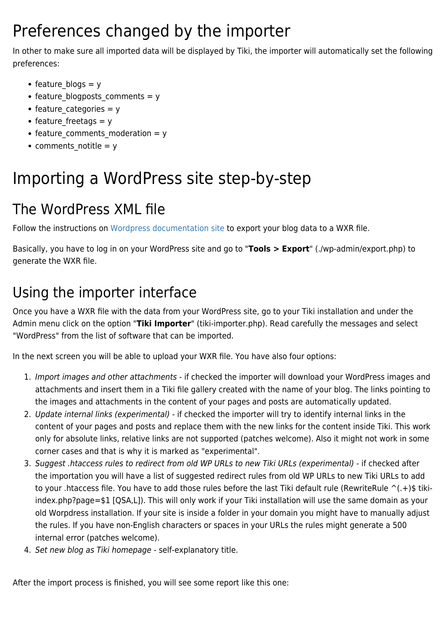### Preferences changed by the importer

In other to make sure all imported data will be displayed by Tiki, the importer will automatically set the following preferences:

- feature blogs  $= y$
- feature blogposts comments = y
- feature categories  $= y$
- feature freetags  $= y$
- feature comments moderation = y
- comments notitle =  $y$

## Importing a WordPress site step-by-step

#### The WordPress XML file

Follow the instructions on [Wordpress documentation site](http://codex.wordpress.org/Tools_Export_SubPanel) to export your blog data to a WXR file.

Basically, you have to log in on your WordPress site and go to "**Tools > Export**" (./wp-admin/export.php) to generate the WXR file.

#### Using the importer interface

Once you have a WXR file with the data from your WordPress site, go to your Tiki installation and under the Admin menu click on the option "**Tiki Importer**" (tiki-importer.php). Read carefully the messages and select "WordPress" from the list of software that can be imported.

In the next screen you will be able to upload your WXR file. You have also four options:

- 1. Import images and other attachments if checked the importer will download your WordPress images and attachments and insert them in a Tiki file gallery created with the name of your blog. The links pointing to the images and attachments in the content of your pages and posts are automatically updated.
- 2. Update internal links (experimental) if checked the importer will try to identify internal links in the content of your pages and posts and replace them with the new links for the content inside Tiki. This work only for absolute links, relative links are not supported (patches welcome). Also it might not work in some corner cases and that is why it is marked as "experimental".
- 3. Suggest .htaccess rules to redirect from old WP URLs to new Tiki URLs (experimental) if checked after the importation you will have a list of suggested redirect rules from old WP URLs to new Tiki URLs to add to your .htaccess file. You have to add those rules before the last Tiki default rule (RewriteRule ^(.+)\$ tikiindex.php?page=\$1 [QSA,L]). This will only work if your Tiki installation will use the same domain as your old Worpdress installation. If your site is inside a folder in your domain you might have to manually adjust the rules. If you have non-English characters or spaces in your URLs the rules might generate a 500 internal error (patches welcome).
- 4. Set new blog as Tiki homepage self-explanatory title.

After the import process is finished, you will see some report like this one: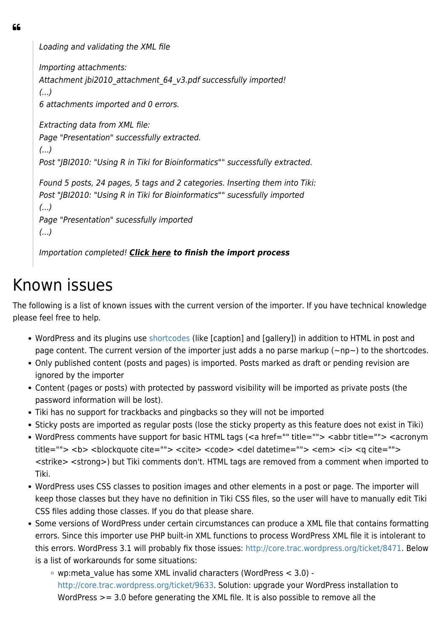66

Loading and validating the XML file

Importing attachments: Attachment jbi2010 attachment 64 v3.pdf successfully imported! (...) 6 attachments imported and 0 errors. Extracting data from XML file: Page "Presentation" successfully extracted. (...) Post "JBI2010: "Using R in Tiki for Bioinformatics"" successfully extracted. Found 5 posts, 24 pages, 5 tags and 2 categories. Inserting them into Tiki: Post "JBI2010: "Using R in Tiki for Bioinformatics"" sucessfully imported (...) Page "Presentation" sucessfully imported (...)

Importation completed! *Click here to finish the import process*

#### Known issues

The following is a list of known issues with the current version of the importer. If you have technical knowledge please feel free to help.

- WordPress and its plugins use [shortcodes](http://codex.wordpress.org/Shortcode_API) (like [caption] and [gallery]) in addition to HTML in post and page content. The current version of the importer just adds a no parse markup ( $\sim$ np $\sim$ ) to the shortcodes.
- Only published content (posts and pages) is imported. Posts marked as draft or pending revision are ignored by the importer
- Content (pages or posts) with protected by password visibility will be imported as private posts (the password information will be lost).
- Tiki has no support for trackbacks and pingbacks so they will not be imported
- Sticky posts are imported as regular posts (lose the sticky property as this feature does not exist in Tiki)
- WordPress comments have support for basic HTML tags (<a href="" title=""> <abbr title=""> <acronym title=""> <b> <blockquote cite=""> <cite> <code> <del datetime=""> <em> <i> <a cite=""> <strike> <strong>) but Tiki comments don't. HTML tags are removed from a comment when imported to Tiki.
- WordPress uses CSS classes to position images and other elements in a post or page. The importer will keep those classes but they have no definition in Tiki CSS files, so the user will have to manually edit Tiki CSS files adding those classes. If you do that please share.
- Some versions of WordPress under certain circumstances can produce a XML file that contains formatting errors. Since this importer use PHP built-in XML functions to process WordPress XML file it is intolerant to this errors. WordPress 3.1 will probably fix those issues: <http://core.trac.wordpress.org/ticket/8471>. Below is a list of workarounds for some situations:
	- wp:meta\_value has some XML invalid characters (WordPress < 3.0) <http://core.trac.wordpress.org/ticket/9633>. Solution: upgrade your WordPress installation to WordPress >= 3.0 before generating the XML file. It is also possible to remove all the